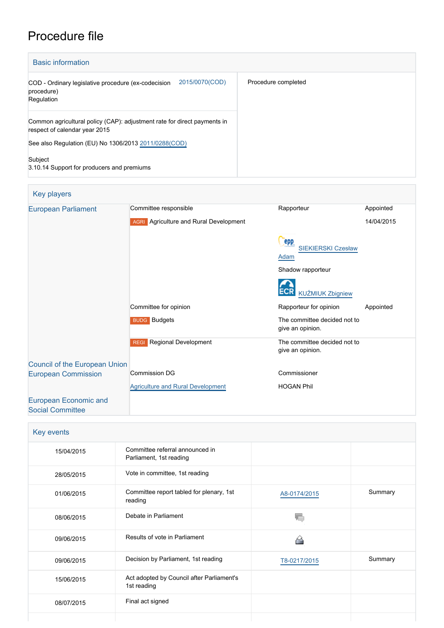# Procedure file

| <b>Basic information</b>                                                                                  |                     |  |
|-----------------------------------------------------------------------------------------------------------|---------------------|--|
| 2015/0070(COD)<br>COD - Ordinary legislative procedure (ex-codecision<br>procedure)<br>Regulation         | Procedure completed |  |
| Common agricultural policy (CAP): adjustment rate for direct payments in<br>respect of calendar year 2015 |                     |  |
| See also Regulation (EU) No 1306/2013 2011/0288 (COD)                                                     |                     |  |
| Subject<br>3.10.14 Support for producers and premiums                                                     |                     |  |

| Key players                                             |                                               |                                                  |            |
|---------------------------------------------------------|-----------------------------------------------|--------------------------------------------------|------------|
| <b>European Parliament</b>                              | Committee responsible                         | Rapporteur                                       | Appointed  |
|                                                         | <b>AGRI</b> Agriculture and Rural Development |                                                  | 14/04/2015 |
|                                                         |                                               | epp<br><b>SIEKIERSKI Czesław</b>                 |            |
|                                                         |                                               | Adam                                             |            |
|                                                         |                                               | Shadow rapporteur                                |            |
|                                                         |                                               | <b>KUŹMIUK Zbigniew</b>                          |            |
|                                                         | Committee for opinion                         | Rapporteur for opinion                           | Appointed  |
|                                                         | <b>BUDG</b> Budgets                           | The committee decided not to<br>give an opinion. |            |
|                                                         | Regional Development<br><b>REGI</b>           | The committee decided not to<br>give an opinion. |            |
| <b>Council of the European Union</b>                    |                                               |                                                  |            |
| <b>European Commission</b>                              | <b>Commission DG</b>                          | Commissioner                                     |            |
|                                                         | <b>Agriculture and Rural Development</b>      | <b>HOGAN Phil</b>                                |            |
| <b>European Economic and</b><br><b>Social Committee</b> |                                               |                                                  |            |

| Key events |                                                            |              |         |
|------------|------------------------------------------------------------|--------------|---------|
| 15/04/2015 | Committee referral announced in<br>Parliament, 1st reading |              |         |
| 28/05/2015 | Vote in committee, 1st reading                             |              |         |
| 01/06/2015 | Committee report tabled for plenary, 1st<br>reading        | A8-0174/2015 | Summary |
| 08/06/2015 | Debate in Parliament                                       |              |         |
| 09/06/2015 | Results of vote in Parliament                              |              |         |
| 09/06/2015 | Decision by Parliament, 1st reading                        | T8-0217/2015 | Summary |
| 15/06/2015 | Act adopted by Council after Parliament's<br>1st reading   |              |         |
| 08/07/2015 | Final act signed                                           |              |         |
|            |                                                            |              |         |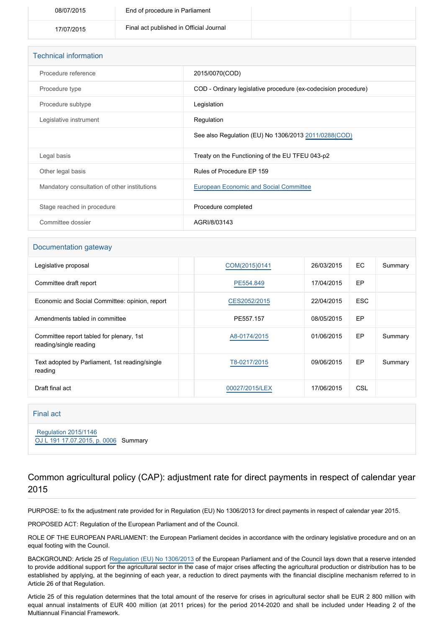| 08/07/2015 | End of procedure in Parliament          |  |
|------------|-----------------------------------------|--|
| 17/07/2015 | Final act published in Official Journal |  |

| <b>Technical information</b>                 |                                                                |
|----------------------------------------------|----------------------------------------------------------------|
| Procedure reference                          | 2015/0070(COD)                                                 |
| Procedure type                               | COD - Ordinary legislative procedure (ex-codecision procedure) |
| Procedure subtype                            | Legislation                                                    |
| Legislative instrument                       | Regulation                                                     |
|                                              | See also Regulation (EU) No 1306/2013 2011/0288(COD)           |
| Legal basis                                  | Treaty on the Functioning of the EU TFEU 043-p2                |
| Other legal basis                            | Rules of Procedure EP 159                                      |
| Mandatory consultation of other institutions | <b>European Economic and Social Committee</b>                  |
| Stage reached in procedure                   | Procedure completed                                            |
| Committee dossier                            | AGRI/8/03143                                                   |

#### Documentation gateway

| Legislative proposal                                               | COM(2015)0141  | 26/03/2015 | EC.        | Summary |
|--------------------------------------------------------------------|----------------|------------|------------|---------|
| Committee draft report                                             | PE554.849      | 17/04/2015 | EP         |         |
| Economic and Social Committee: opinion, report                     | CES2052/2015   | 22/04/2015 | <b>ESC</b> |         |
| Amendments tabled in committee                                     | PE557.157      | 08/05/2015 | EP         |         |
| Committee report tabled for plenary, 1st<br>reading/single reading | A8-0174/2015   | 01/06/2015 | EP.        | Summary |
| Text adopted by Parliament, 1st reading/single<br>reading          | T8-0217/2015   | 09/06/2015 | EP         | Summary |
| Draft final act                                                    | 00027/2015/LEX | 17/06/2015 | CSL        |         |

#### Final act

 [Regulation 2015/1146](https://eur-lex.europa.eu/smartapi/cgi/sga_doc?smartapi!celexplus!prod!CELEXnumdoc&lg=EN&numdoc=32015R1146) [OJ L 191 17.07.2015, p. 0006](https://eur-lex.europa.eu/legal-content/EN/TXT/?uri=OJ:L:2015:191:TOC) Summary

## Common agricultural policy (CAP): adjustment rate for direct payments in respect of calendar year 2015

PURPOSE: to fix the adjustment rate provided for in Regulation (EU) No 1306/2013 for direct payments in respect of calendar year 2015.

PROPOSED ACT: Regulation of the European Parliament and of the Council.

ROLE OF THE EUROPEAN PARLIAMENT: the European Parliament decides in accordance with the ordinary legislative procedure and on an equal footing with the Council.

BACKGROUND: Article 25 of [Regulation \(EU\) No 1306/2013](http://www.europarl.europa.eu/oeil/popups/ficheprocedure.do?reference=2011/0288(COD)&l=en) of the European Parliament and of the Council lays down that a reserve intended to provide additional support for the agricultural sector in the case of major crises affecting the agricultural production or distribution has to be established by applying, at the beginning of each year, a reduction to direct payments with the financial discipline mechanism referred to in Article 26 of that Regulation.

Article 25 of this regulation determines that the total amount of the reserve for crises in agricultural sector shall be EUR 2 800 million with equal annual instalments of EUR 400 million (at 2011 prices) for the period 2014-2020 and shall be included under Heading 2 of the Multiannual Financial Framework.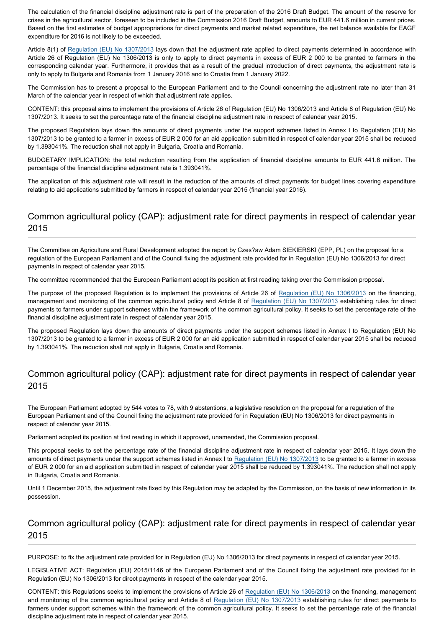The calculation of the financial discipline adjustment rate is part of the preparation of the 2016 Draft Budget. The amount of the reserve for crises in the agricultural sector, foreseen to be included in the Commission 2016 Draft Budget, amounts to EUR 441.6 million in current prices. Based on the first estimates of budget appropriations for direct payments and market related expenditure, the net balance available for EAGF expenditure for 2016 is not likely to be exceeded.

Article 8(1) of [Regulation \(EU\) No 1307/2013](http://www.europarl.europa.eu/oeil/popups/ficheprocedure.do?reference=2011/0280(COD)&l=en) lays down that the adjustment rate applied to direct payments determined in accordance with Article 26 of Regulation (EU) No 1306/2013 is only to apply to direct payments in excess of EUR 2 000 to be granted to farmers in the corresponding calendar year. Furthermore, it provides that as a result of the gradual introduction of direct payments, the adjustment rate is only to apply to Bulgaria and Romania from 1 January 2016 and to Croatia from 1 January 2022.

The Commission has to present a proposal to the European Parliament and to the Council concerning the adjustment rate no later than 31 March of the calendar year in respect of which that adjustment rate applies.

CONTENT: this proposal aims to implement the provisions of Article 26 of Regulation (EU) No 1306/2013 and Article 8 of Regulation (EU) No 1307/2013. It seeks to set the percentage rate of the financial discipline adjustment rate in respect of calendar year 2015.

The proposed Regulation lays down the amounts of direct payments under the support schemes listed in Annex I to Regulation (EU) No 1307/2013 to be granted to a farmer in excess of EUR 2 000 for an aid application submitted in respect of calendar year 2015 shall be reduced by 1.393041%. The reduction shall not apply in Bulgaria, Croatia and Romania.

BUDGETARY IMPLICATION: the total reduction resulting from the application of financial discipline amounts to EUR 441.6 million. The percentage of the financial discipline adjustment rate is 1.393041%.

The application of this adjustment rate will result in the reduction of the amounts of direct payments for budget lines covering expenditure relating to aid applications submitted by farmers in respect of calendar year 2015 (financial year 2016).

## Common agricultural policy (CAP): adjustment rate for direct payments in respect of calendar year 2015

The Committee on Agriculture and Rural Development adopted the report by Czes?aw Adam SIEKIERSKI (EPP, PL) on the proposal for a regulation of the European Parliament and of the Council fixing the adjustment rate provided for in Regulation (EU) No 1306/2013 for direct payments in respect of calendar year 2015.

The committee recommended that the European Parliament adopt its position at first reading taking over the Commission proposal.

The purpose of the proposed Regulation is to implement the provisions of Article 26 of [Regulation \(EU\) No 1306/201](http://www.europarl.europa.eu/oeil/popups/ficheprocedure.do?reference=2011/0288(COD)&l=en)3 on the financing, management and monitoring of the common agricultural policy and Article 8 of [Regulation \(EU\) No 1307/2013](http://www.europarl.europa.eu/oeil/popups/ficheprocedure.do?reference=2011/0280(COD)&l=en) establishing rules for direct payments to farmers under support schemes within the framework of the common agricultural policy. It seeks to set the percentage rate of the financial discipline adjustment rate in respect of calendar year 2015.

The proposed Regulation lays down the amounts of direct payments under the support schemes listed in Annex I to Regulation (EU) No 1307/2013 to be granted to a farmer in excess of EUR 2 000 for an aid application submitted in respect of calendar year 2015 shall be reduced by 1.393041%. The reduction shall not apply in Bulgaria, Croatia and Romania.

#### Common agricultural policy (CAP): adjustment rate for direct payments in respect of calendar year 2015

The European Parliament adopted by 544 votes to 78, with 9 abstentions, a legislative resolution on the proposal for a regulation of the European Parliament and of the Council fixing the adjustment rate provided for in Regulation (EU) No 1306/2013 for direct payments in respect of calendar year 2015.

Parliament adopted its position at first reading in which it approved, unamended, the Commission proposal.

This proposal seeks to set the percentage rate of the financial discipline adjustment rate in respect of calendar year 2015. It lays down the amounts of direct payments under the support schemes listed in Annex I to [Regulation \(EU\) No 1307/2013](http://www.europarl.europa.eu/oeil/popups/ficheprocedure.do?reference=2011/0280(COD)&l=en) to be granted to a farmer in excess of EUR 2 000 for an aid application submitted in respect of calendar year 2015 shall be reduced by 1.393041%. The reduction shall not apply in Bulgaria, Croatia and Romania.

Until 1 December 2015, the adjustment rate fixed by this Regulation may be adapted by the Commission, on the basis of new information in its possession.

#### Common agricultural policy (CAP): adjustment rate for direct payments in respect of calendar year 2015

PURPOSE: to fix the adjustment rate provided for in Regulation (EU) No 1306/2013 for direct payments in respect of calendar year 2015.

LEGISLATIVE ACT: Regulation (EU) 2015/1146 of the European Parliament and of the Council fixing the adjustment rate provided for in Regulation (EU) No 1306/2013 for direct payments in respect of the calendar year 2015.

CONTENT: this Regulations seeks to implement the provisions of Article 26 of [Regulation \(EU\) No 1306/2013](http://www.europarl.europa.eu/oeil/popups/ficheprocedure.do?reference=2011/0288(COD)&l=en) on the financing, management and monitoring of the common agricultural policy and Article 8 of [Regulation \(EU\) No 1307/2013](http://www.europarl.europa.eu/oeil/popups/ficheprocedure.do?reference=2011/0280(COD)&l=en) establishing rules for direct payments to farmers under support schemes within the framework of the common agricultural policy. It seeks to set the percentage rate of the financial discipline adjustment rate in respect of calendar year 2015.